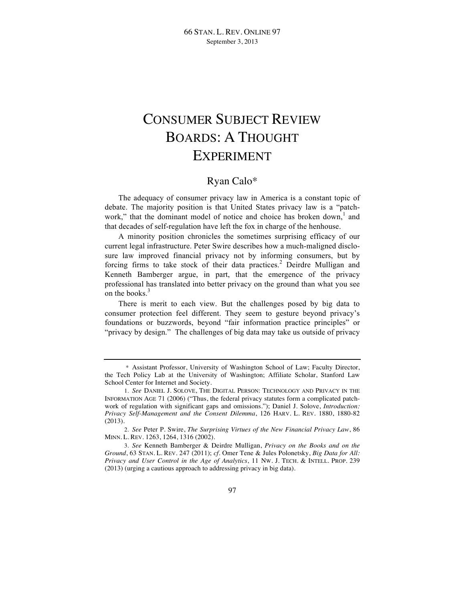## CONSUMER SUBJECT REVIEW BOARDS: A THOUGHT EXPERIMENT

## Ryan Calo\*

The adequacy of consumer privacy law in America is a constant topic of debate. The majority position is that United States privacy law is a "patchwork," that the dominant model of notice and choice has broken down,<sup>1</sup> and that decades of self-regulation have left the fox in charge of the henhouse.

A minority position chronicles the sometimes surprising efficacy of our current legal infrastructure. Peter Swire describes how a much-maligned disclosure law improved financial privacy not by informing consumers, but by forcing firms to take stock of their data practices.<sup>2</sup> Deirdre Mulligan and Kenneth Bamberger argue, in part, that the emergence of the privacy professional has translated into better privacy on the ground than what you see on the books.<sup>3</sup>

There is merit to each view. But the challenges posed by big data to consumer protection feel different. They seem to gesture beyond privacy's foundations or buzzwords, beyond "fair information practice principles" or "privacy by design." The challenges of big data may take us outside of privacy

<sup>\*</sup> Assistant Professor, University of Washington School of Law; Faculty Director, the Tech Policy Lab at the University of Washington; Affiliate Scholar, Stanford Law School Center for Internet and Society.

<sup>1.</sup> *See* DANIEL J. SOLOVE, THE DIGITAL PERSON: TECHNOLOGY AND PRIVACY IN THE INFORMATION AGE 71 (2006) ("Thus, the federal privacy statutes form a complicated patchwork of regulation with significant gaps and omissions."); Daniel J. Solove, *Introduction: Privacy Self-Management and the Consent Dilemma*, 126 HARV. L. REV. 1880, 1880-82 (2013).

<sup>2.</sup> *See* Peter P. Swire, *The Surprising Virtues of the New Financial Privacy Law*, 86 MINN. L. REV. 1263, 1264, 1316 (2002).

<sup>3.</sup> *See* Kenneth Bamberger & Deirdre Mulligan, *Privacy on the Books and on the Ground*, 63 STAN. L. REV. 247 (2011); *cf.* Omer Tene & Jules Polonetsky, *Big Data for All: Privacy and User Control in the Age of Analytics*, 11 NW. J. TECH. & INTELL. PROP. 239 (2013) (urging a cautious approach to addressing privacy in big data).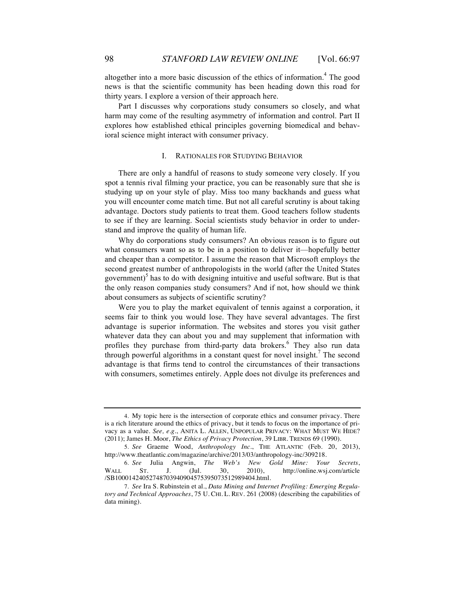altogether into a more basic discussion of the ethics of information.<sup>4</sup> The good news is that the scientific community has been heading down this road for thirty years. I explore a version of their approach here.

Part I discusses why corporations study consumers so closely, and what harm may come of the resulting asymmetry of information and control. Part II explores how established ethical principles governing biomedical and behavioral science might interact with consumer privacy.

## I. RATIONALES FOR STUDYING BEHAVIOR

There are only a handful of reasons to study someone very closely. If you spot a tennis rival filming your practice, you can be reasonably sure that she is studying up on your style of play. Miss too many backhands and guess what you will encounter come match time. But not all careful scrutiny is about taking advantage. Doctors study patients to treat them. Good teachers follow students to see if they are learning. Social scientists study behavior in order to understand and improve the quality of human life.

Why do corporations study consumers? An obvious reason is to figure out what consumers want so as to be in a position to deliver it—hopefully better and cheaper than a competitor. I assume the reason that Microsoft employs the second greatest number of anthropologists in the world (after the United States government)<sup>5</sup> has to do with designing intuitive and useful software. But is that the only reason companies study consumers? And if not, how should we think about consumers as subjects of scientific scrutiny?

Were you to play the market equivalent of tennis against a corporation, it seems fair to think you would lose. They have several advantages. The first advantage is superior information. The websites and stores you visit gather whatever data they can about you and may supplement that information with profiles they purchase from third-party data brokers.<sup>6</sup> They also run data through powerful algorithms in a constant quest for novel insight.<sup>7</sup> The second advantage is that firms tend to control the circumstances of their transactions with consumers, sometimes entirely. Apple does not divulge its preferences and

<sup>4.</sup> My topic here is the intersection of corporate ethics and consumer privacy. There is a rich literature around the ethics of privacy, but it tends to focus on the importance of privacy as a value. *See, e.g.*, ANITA L. ALLEN, UNPOPULAR PRIVACY: WHAT MUST WE HIDE? (2011); James H. Moor, *The Ethics of Privacy Protection*, 39 LIBR. TRENDS 69 (1990).

<sup>5.</sup> *See* Graeme Wood, *Anthropology Inc.*, THE ATLANTIC (Feb. 20, 2013), http://www.theatlantic.com/magazine/archive/2013/03/anthropology-inc/309218.

<sup>6.</sup> *See* Julia Angwin, *The Web's New Gold Mine: Your Secrets*, WALL ST. J. (Jul. 30, 2010), http://online.wsj.com/article /SB10001424052748703940904575395073512989404.html.

<sup>7.</sup> *See* Ira S. Rubinstein et al., *Data Mining and Internet Profiling: Emerging Regulatory and Technical Approaches*, 75 U. CHI. L. REV. 261 (2008) (describing the capabilities of data mining).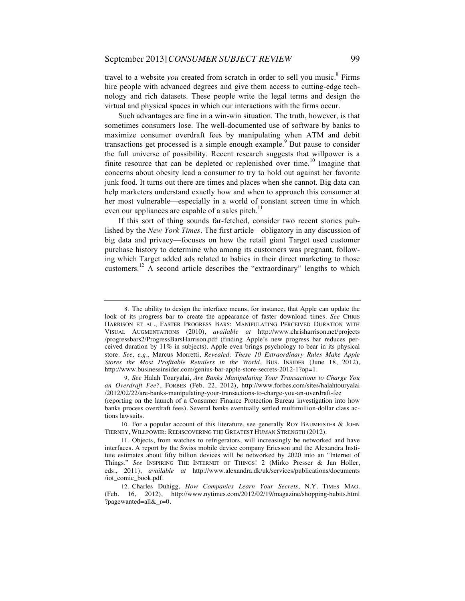travel to a website *you* created from scratch in order to sell you music.<sup>8</sup> Firms hire people with advanced degrees and give them access to cutting-edge technology and rich datasets. These people write the legal terms and design the virtual and physical spaces in which our interactions with the firms occur.

Such advantages are fine in a win-win situation. The truth, however, is that sometimes consumers lose. The well-documented use of software by banks to maximize consumer overdraft fees by manipulating when ATM and debit transactions get processed is a simple enough example.<sup>9</sup> But pause to consider the full universe of possibility. Recent research suggests that willpower is a finite resource that can be depleted or replenished over time.<sup>10</sup> Imagine that concerns about obesity lead a consumer to try to hold out against her favorite junk food. It turns out there are times and places when she cannot. Big data can help marketers understand exactly how and when to approach this consumer at her most vulnerable—especially in a world of constant screen time in which even our appliances are capable of a sales pitch.<sup>11</sup>

If this sort of thing sounds far-fetched, consider two recent stories published by the *New York Times*. The first article*—*obligatory in any discussion of big data and privacy—focuses on how the retail giant Target used customer purchase history to determine who among its customers was pregnant, following which Target added ads related to babies in their direct marketing to those customers.12 A second article describes the "extraordinary" lengths to which

9. *See* Halah Touryalai, *Are Banks Manipulating Your Transactions to Charge You an Overdraft Fee?*, FORBES (Feb. 22, 2012), http://www.forbes.com/sites/halahtouryalai /2012/02/22/are-banks-manipulating-your-transactions-to-charge-you-an-overdraft-fee

<sup>8.</sup> The ability to design the interface means, for instance, that Apple can update the look of its progress bar to create the appearance of faster download times. See CHRIS HARRISON ET AL., FASTER PROGRESS BARS: MANIPULATING PERCEIVED DURATION WITH VISUAL AUGMENTATIONS (2010), *available at* http://www.chrisharrison.net/projects /progressbars2/ProgressBarsHarrison.pdf (finding Apple's new progress bar reduces perceived duration by 11% in subjects). Apple even brings psychology to bear in its physical store. *See, e.g.*, Marcus Morretti, *Revealed: These 10 Extraordinary Rules Make Apple Stores the Most Profitable Retailers in the World*, BUS. INSIDER (June 18, 2012), http://www.businessinsider.com/genius-bar-apple-store-secrets-2012-1?op=1.

<sup>(</sup>reporting on the launch of a Consumer Finance Protection Bureau investigation into how banks process overdraft fees). Several banks eventually settled multimillion-dollar class actions lawsuits.

<sup>10.</sup> For a popular account of this literature, see generally ROY BAUMEISTER & JOHN TIERNEY, WILLPOWER: REDISCOVERING THE GREATEST HUMAN STRENGTH (2012).

<sup>11.</sup> Objects, from watches to refrigerators, will increasingly be networked and have interfaces. A report by the Swiss mobile device company Ericsson and the Alexandra Institute estimates about fifty billion devices will be networked by 2020 into an "Internet of Things." *See* INSPIRING THE INTERNET OF THINGS! 2 (Mirko Presser & Jan Holler, eds., 2011), *available at* http://www.alexandra.dk/uk/services/publications/documents /iot\_comic\_book.pdf.

<sup>12.</sup> Charles Duhigg, *How Companies Learn Your Secrets*, N.Y. TIMES MAG. (Feb. 16, 2012), http://www.nytimes.com/2012/02/19/magazine/shopping-habits.html ?pagewanted=all&\_r=0.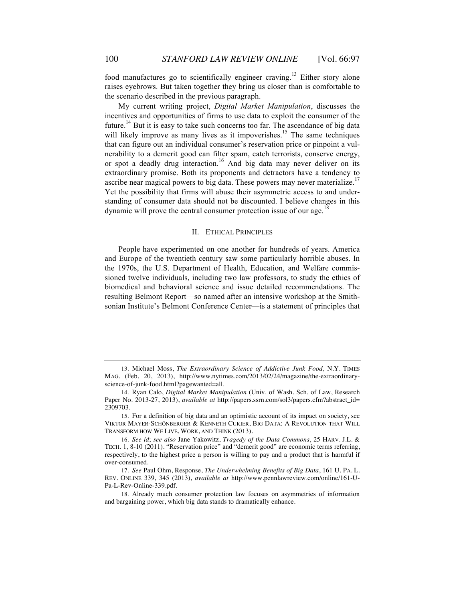food manufactures go to scientifically engineer craving.<sup>13</sup> Either story alone raises eyebrows. But taken together they bring us closer than is comfortable to the scenario described in the previous paragraph.

My current writing project, *Digital Market Manipulation*, discusses the incentives and opportunities of firms to use data to exploit the consumer of the future.<sup>14</sup> But it is easy to take such concerns too far. The ascendance of big data will likely improve as many lives as it impoverishes.<sup>15</sup> The same techniques that can figure out an individual consumer's reservation price or pinpoint a vulnerability to a demerit good can filter spam, catch terrorists, conserve energy, or spot a deadly drug interaction.<sup>16</sup> And big data may never deliver on its extraordinary promise. Both its proponents and detractors have a tendency to ascribe near magical powers to big data. These powers may never materialize.<sup>17</sup> Yet the possibility that firms will abuse their asymmetric access to and understanding of consumer data should not be discounted. I believe changes in this dynamic will prove the central consumer protection issue of our age.<sup>18</sup>

## II. ETHICAL PRINCIPLES

People have experimented on one another for hundreds of years. America and Europe of the twentieth century saw some particularly horrible abuses. In the 1970s, the U.S. Department of Health, Education, and Welfare commissioned twelve individuals, including two law professors, to study the ethics of biomedical and behavioral science and issue detailed recommendations. The resulting Belmont Report—so named after an intensive workshop at the Smithsonian Institute's Belmont Conference Center—is a statement of principles that

<sup>13.</sup> Michael Moss, *The Extraordinary Science of Addictive Junk Food*, N.Y. TIMES MAG. (Feb. 20, 2013), http://www.nytimes.com/2013/02/24/magazine/the-extraordinaryscience-of-junk-food.html?pagewanted=all.

<sup>14.</sup> Ryan Calo, *Digital Market Manipulation* (Univ. of Wash. Sch. of Law, Research Paper No. 2013-27, 2013), *available at* http://papers.ssrn.com/sol3/papers.cfm?abstract\_id= 2309703.

<sup>15.</sup> For a definition of big data and an optimistic account of its impact on society, see VIKTOR MAYER-SCHÖNBERGER & KENNETH CUKIER, BIG DATA: A REVOLUTION THAT WILL TRANSFORM HOW WE LIVE, WORK, AND THINK (2013).

<sup>16.</sup> *See id*; *see also* Jane Yakowitz, *Tragedy of the Data Commons*, 25 HARV. J.L. & TECH. 1, 8-10 (2011). "Reservation price" and "demerit good" are economic terms referring, respectively, to the highest price a person is willing to pay and a product that is harmful if over-consumed.

<sup>17.</sup> *See* Paul Ohm, Response, *The Underwhelming Benefits of Big Data*, 161 U. PA. L. REV. ONLINE 339, 345 (2013), *available at* http://www.pennlawreview.com/online/161-U-Pa-L-Rev-Online-339.pdf.

<sup>18.</sup> Already much consumer protection law focuses on asymmetries of information and bargaining power, which big data stands to dramatically enhance.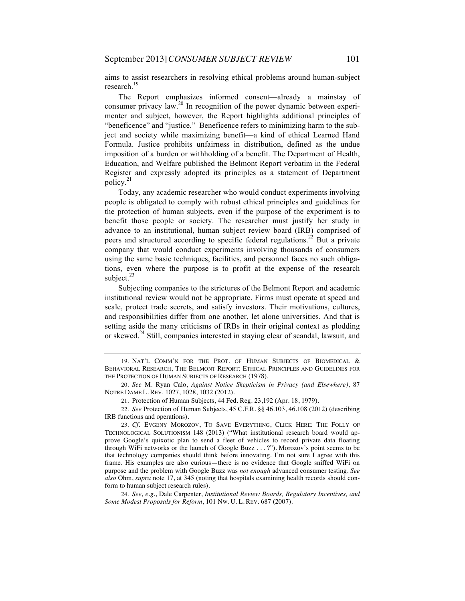aims to assist researchers in resolving ethical problems around human-subject research.<sup>19</sup>

The Report emphasizes informed consent—already a mainstay of consumer privacy  $law^{20}$  In recognition of the power dynamic between experimenter and subject, however, the Report highlights additional principles of "beneficence" and "justice." Beneficence refers to minimizing harm to the subject and society while maximizing benefit—a kind of ethical Learned Hand Formula. Justice prohibits unfairness in distribution, defined as the undue imposition of a burden or withholding of a benefit. The Department of Health, Education, and Welfare published the Belmont Report verbatim in the Federal Register and expressly adopted its principles as a statement of Department policy.<sup>21</sup>

Today, any academic researcher who would conduct experiments involving people is obligated to comply with robust ethical principles and guidelines for the protection of human subjects, even if the purpose of the experiment is to benefit those people or society. The researcher must justify her study in advance to an institutional, human subject review board (IRB) comprised of peers and structured according to specific federal regulations.<sup>22</sup> But a private company that would conduct experiments involving thousands of consumers using the same basic techniques, facilities, and personnel faces no such obligations, even where the purpose is to profit at the expense of the research subject. $^{23}$ 

Subjecting companies to the strictures of the Belmont Report and academic institutional review would not be appropriate. Firms must operate at speed and scale, protect trade secrets, and satisfy investors. Their motivations, cultures, and responsibilities differ from one another, let alone universities. And that is setting aside the many criticisms of IRBs in their original context as plodding or skewed.<sup>24</sup> Still, companies interested in staying clear of scandal, lawsuit, and

24. *See, e.g.*, Dale Carpenter, *Institutional Review Boards, Regulatory Incentives, and Some Modest Proposals for Reform*, 101 NW. U. L. REV. 687 (2007).

<sup>19.</sup> NAT'L COMM'N FOR THE PROT. OF HUMAN SUBJECTS OF BIOMEDICAL & BEHAVIORAL RESEARCH, THE BELMONT REPORT: ETHICAL PRINCIPLES AND GUIDELINES FOR THE PROTECTION OF HUMAN SUBJECTS OF RESEARCH (1978).

<sup>20.</sup> *See* M. Ryan Calo, *Against Notice Skepticism in Privacy (and Elsewhere)*, 87 NOTRE DAME L. REV. 1027, 1028, 1032 (2012).

<sup>21.</sup> Protection of Human Subjects, 44 Fed. Reg. 23,192 (Apr. 18, 1979).

<sup>22.</sup> *See* Protection of Human Subjects, 45 C.F.R. §§ 46.103, 46.108 (2012) (describing IRB functions and operations).

<sup>23.</sup> *Cf.* EVGENY MOROZOV, TO SAVE EVERYTHING, CLICK HERE: THE FOLLY OF TECHNOLOGICAL SOLUTIONISM 148 (2013) ("What institutional research board would approve Google's quixotic plan to send a fleet of vehicles to record private data floating through WiFi networks or the launch of Google Buzz . . . ?"). Morozov's point seems to be that technology companies should think before innovating. I'm not sure I agree with this frame. His examples are also curious—there is no evidence that Google sniffed WiFi on purpose and the problem with Google Buzz was *not enough* advanced consumer testing. *See also* Ohm, *supra* note 17, at 345 (noting that hospitals examining health records should conform to human subject research rules).